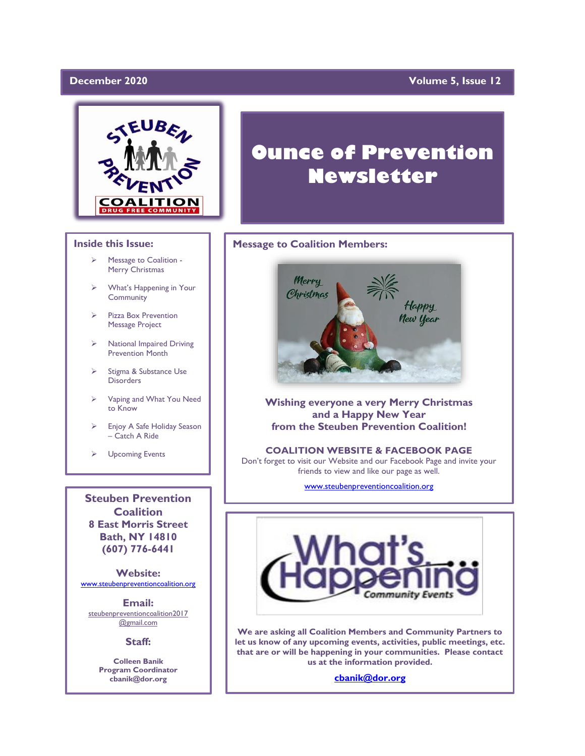#### December 2020

### **Volume 5, Issue 12**



#### **Inside this Issue:**

- ➢ Message to Coalition Merry Christmas
- What's Happening in Your **Community**
- ➢ Pizza Box Prevention Message Project
- ➢ National Impaired Driving Prevention Month
- ➢ Stigma & Substance Use **Disorders**
- ➢ Vaping and What You Need to Know
- ➢ Enjoy A Safe Holiday Season – Catch A Ride
- ➢ Upcoming Events

**Steuben Prevention Coalition 8 East Morris Street Bath, NY 14810 (607) 776-6441**

**Website:**  [www.steubenpreventioncoalition.org](http://www.steubenpreventioncoalition.org/)

**Email:**  steubenpreventioncoalition2017 @gmail.com

**Staff:**

**Colleen Banik Program Coordinator cbanik@dor.org**

# **Ounce of Prevention Newsletter**

#### **Message to Coalition Members:**



**Wishing everyone a very Merry Christmas and a Happy New Year from the Steuben Prevention Coalition!**

**COALITION WEBSITE & FACEBOOK PAGE** Don't forget to visit our Website and our Facebook Page and invite your friends to view and like our page as well.

[www.steubenpreventioncoalition.org](http://www.steubenpreventioncoalition.org/)



**We are asking all Coalition Members and Community Partners to let us know of any upcoming events, activities, public meetings, etc. that are or will be happening in your communities. Please contact us at the information provided.**

**[cbanik@dor.org](mailto:cbanik@dor.org)**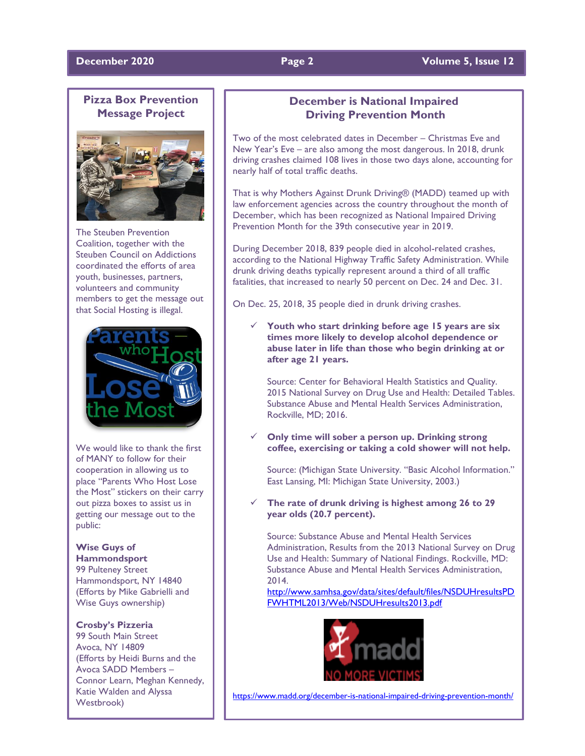#### **December 2020 Page 2 Volume 5, Issue 12**

## **Pizza Box Prevention Message Project**



The Steuben Prevention Coalition, together with the Steuben Council on Addictions coordinated the efforts of area youth, businesses, partners, volunteers and community members to get the message out that Social Hosting is illegal.



We would like to thank the first of MANY to follow for their cooperation in allowing us to place "Parents Who Host Lose the Most" stickers on their carry out pizza boxes to assist us in getting our message out to the public:

# **Wise Guys of**

**Hammondsport** 99 Pulteney Street Hammondsport, NY 14840 (Efforts by Mike Gabrielli and Wise Guys ownership)

#### **Crosby's Pizzeria**

99 South Main Street Avoca, NY 14809 (Efforts by Heidi Burns and the Avoca SADD Members – Connor Learn, Meghan Kennedy, Katie Walden and Alyssa Westbrook)

### **December is National Impaired Driving Prevention Month**

Two of the most celebrated dates in December – Christmas Eve and New Year's Eve – are also among the most dangerous. In 2018, drunk driving crashes claimed 108 lives in those two days alone, accounting for nearly half of total traffic deaths.

That is why Mothers Against Drunk Driving® (MADD) teamed up with law enforcement agencies across the country throughout the month of December, which has been recognized as National Impaired Driving Prevention Month for the 39th consecutive year in 2019.

During December 2018, 839 people died in alcohol-related crashes, according to the National Highway Traffic Safety Administration. While drunk driving deaths typically represent around a third of all traffic fatalities, that increased to nearly 50 percent on Dec. 24 and Dec. 31.

On Dec. 25, 2018, 35 people died in drunk driving crashes.

✓ **Youth who start drinking before age 15 years are six times more likely to develop alcohol dependence or abuse later in life than those who begin drinking at or after age 21 years.**

Source: Center for Behavioral Health Statistics and Quality. 2015 National Survey on Drug Use and Health: Detailed Tables. Substance Abuse and Mental Health Services Administration, Rockville, MD; 2016.

✓ **Only time will sober a person up. Drinking strong coffee, exercising or taking a cold shower will not help.**

Source: (Michigan State University. "Basic Alcohol Information." East Lansing, MI: Michigan State University, 2003.)

The rate of drunk driving is highest among 26 to 29 **year olds (20.7 percent).**

Source: Substance Abuse and Mental Health Services Administration, Results from the 2013 National Survey on Drug Use and Health: Summary of National Findings. Rockville, MD: Substance Abuse and Mental Health Services Administration, 2014.

[http://www.samhsa.gov/data/sites/default/files/NSDUHresultsPD](http://www.samhsa.gov/data/sites/default/files/NSDUHresultsPDFWHTML2013/Web/NSDUHresults2013.pdf) [FWHTML2013/Web/NSDUHresults2013.pdf](http://www.samhsa.gov/data/sites/default/files/NSDUHresultsPDFWHTML2013/Web/NSDUHresults2013.pdf)



<https://www.madd.org/december-is-national-impaired-driving-prevention-month/>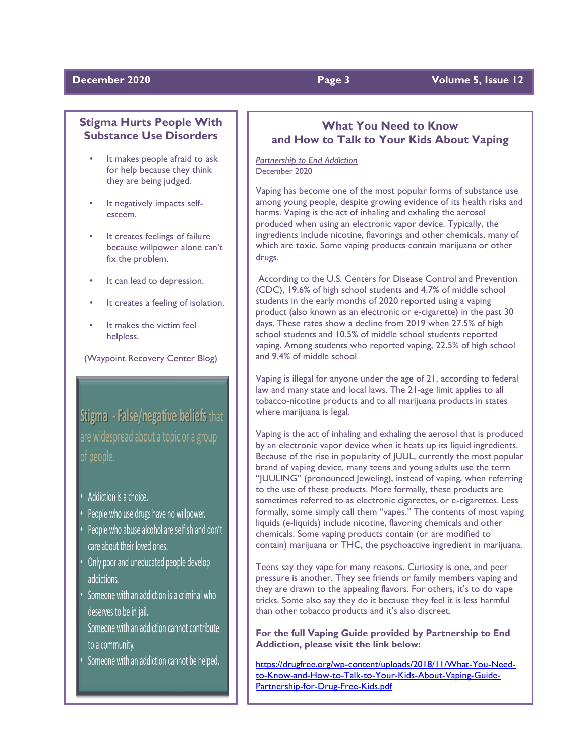### **December 2020 Page 3 Volume 5, Issue 12**

### **Stigma Hurts People With Substance Use Disorders**

- It makes people afraid to ask for help because they think they are being judged.
- It negatively impacts selfesteem.
- It creates feelings of failure because willpower alone can't fix the problem.
- It can lead to depression.
- It creates a feeling of isolation.
- It makes the victim feel helpless.

(Waypoint Recovery Center Blog)

**Stigma - False/negative beliefs** that are widespread about a topic or a group of people.

- Addiction is a choice.
- •People who use drugs have no willpower.
- People who abuse alcohol are selfish and don't care about their loved ones.
- Only poor and uneducated people develop addictions.
- Someone with an addiction is a criminal who deserves to be in jail. Someone with an addiction cannot contribute to a community.
- Someone with an addiction cannot be helped.

### **What You Need to Know and How to Talk to Your Kids About Vaping**

*Partnership to End Addiction* December 2020

Vaping has become one of the most popular forms of substance use among young people, despite growing evidence of its health risks and harms. Vaping is the act of inhaling and exhaling the aerosol produced when using an electronic vapor device. Typically, the ingredients include nicotine, flavorings and other chemicals, many of which are toxic. Some vaping products contain marijuana or other drugs.

According to the U.S. Centers for Disease Control and Prevention (CDC), 19.6% of high school students and 4.7% of middle school students in the early months of 2020 reported using a vaping product (also known as an electronic or e-cigarette) in the past 30 days. These rates show a decline from 2019 when 27.5% of high school students and 10.5% of middle school students reported vaping. Among students who reported vaping, 22.5% of high school and 9.4% of middle school

Vaping is illegal for anyone under the age of 21, according to federal law and many state and local laws. The 21-age limit applies to all tobacco-nicotine products and to all marijuana products in states where marijuana is legal.

Vaping is the act of inhaling and exhaling the aerosol that is produced by an electronic vapor device when it heats up its liquid ingredients. Because of the rise in popularity of JUUL, currently the most popular brand of vaping device, many teens and young adults use the term "JUULING" (pronounced Jeweling), instead of vaping, when referring to the use of these products. More formally, these products are sometimes referred to as electronic cigarettes, or e-cigarettes. Less formally, some simply call them "vapes." The contents of most vaping liquids (e-liquids) include nicotine, flavoring chemicals and other chemicals. Some vaping products contain (or are modified to contain) marijuana or THC, the psychoactive ingredient in marijuana.

Teens say they vape for many reasons. Curiosity is one, and peer pressure is another. They see friends or family members vaping and they are drawn to the appealing flavors. For others, it's to do vape tricks. Some also say they do it because they feel it is less harmful than other tobacco products and it's also discreet.

**For the full Vaping Guide provided by Partnership to End Addiction, please visit the link below:**

[https://drugfree.org/wp-content/uploads/2018/11/What-You-Need](https://drugfree.org/wp-content/uploads/2018/11/What-You-Need-to-Know-and-How-to-Talk-to-Your-Kids-About-Vaping-Guide-Partnership-for-Drug-Free-Kids.pdf)[to-Know-and-How-to-Talk-to-Your-Kids-About-Vaping-Guide-](https://drugfree.org/wp-content/uploads/2018/11/What-You-Need-to-Know-and-How-to-Talk-to-Your-Kids-About-Vaping-Guide-Partnership-for-Drug-Free-Kids.pdf)[Partnership-for-Drug-Free-Kids.pdf](https://drugfree.org/wp-content/uploads/2018/11/What-You-Need-to-Know-and-How-to-Talk-to-Your-Kids-About-Vaping-Guide-Partnership-for-Drug-Free-Kids.pdf)